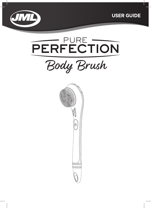





Body Brush

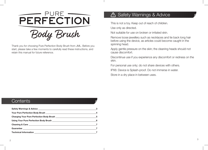

Body Brush

Thank you for choosing Pure Perfection Body Brush from JML. Before you start, please take a few moments to carefully read these instructions, and retain this manual for future reference.

#### Safety Warnings & Advice  $\bigtriangleup$

This is not a toy. Keep out of reach of children.

Use only as directed.

Not suitable for use on broken or irritated skin.

Remove loose jewellery such as necklaces and tie back long hair before using the device, as articles could become caught in the spinning head.

Apply gentle pressure on the skin; the cleaning heads should not cause discomfort.

Discontinue use if you experience any discomfort or redness on the skin.

For personal use only; do not share devices with others.

IPX6: Device is Splash-proof. Do not immerse in water.

Store in a dry place in between uses.

#### **Contents**

|                                                                                                                                                                                                                                      | -3  |
|--------------------------------------------------------------------------------------------------------------------------------------------------------------------------------------------------------------------------------------|-----|
|                                                                                                                                                                                                                                      | - 4 |
| <b>Charging Your Pure Perfection Body Brush Charging Charging Your Pure Perfection Body Brush Charging Charging Charging Charging Charging Charging Charging Charging Charging Charging Charging Charging Charging Charging Char</b> | 5   |
|                                                                                                                                                                                                                                      | 6   |
|                                                                                                                                                                                                                                      |     |
|                                                                                                                                                                                                                                      |     |
|                                                                                                                                                                                                                                      |     |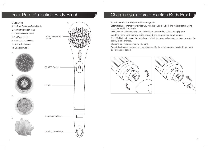

# Your Pure Perfection Body Brush Text Charging your Pure Perfection Body Brush

Your Pure Perfection Body Brush is rechargeable.

Before first use, charge your device fully with the cable included. The waterproof charging port is located in the handle.

Twist the rose gold handle tip anti-clockwise to open and reveal the charging port.

Insert the micro-USB charging cable (included) and connect to a power source.

The LED Battery indicator light with be red whilst charging and will change to green when the battery is fully charged.

Charging time is approximately 120 mins.

Once fully charged, remove the charging cable. Replace the rose gold handle tip and twist clockwise until locked.



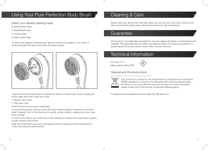# Using Your Pure Perfection Body Brush

Select your desired cleaning head:

- B. Soft Scrubber Head
- C. Bristle Brush Head
- D. Pumice Head
- E. Wash Loofah Head

To attach your selected cleaning head, align the head to the hexagon in the center of device and push the head until it clicks and locks in place.



Press and hold the power button to activate the device in medium spin mode. Pressing the button again will move to high spin mode.

- 1. Medium spin mode
- 2. High spin mode

Press the button once more to deactivate.

To use the Body Brush, wet your body with warm water and apply a cleanser to the brush head, if desired. Turn on the device and in gentle, circular motions, cleanse your torso, back, arms and legs.

For the Pumice Stone, use it either dry or wet, buffing your calluses and rough spots in gentle circular motions until smooth.

Keep the brush flush to your skin, with gentle pressure. Pressing too hard will impede its motion and reduce its effectiveness.

# Cleaning & Care

Always clean your device with water after each use, and dry with a soft cloth. Ensure unit is clean and dry when storing away. Store device away from high temperature.

## **Guarantee**

This product is unconditionally guaranteed for one year against all defects of workmanship and materials. This guarantee does not affect your statutory rights. If you have any problems or queries about this product please contact JML customer services.

## Technical Information

DC Input: 3.7V Water ingress rating: IPX6



Disposal and the environment



This product is covered by the waste electrical and electronic equipment (WEEE) regulations. It should not be discarded with normal household waste, but taken to your local collection centre for recycling. For further information, please contact your local authority or approved disposal agency.

For replacement and additional brushe heads visit JMLdirect.com